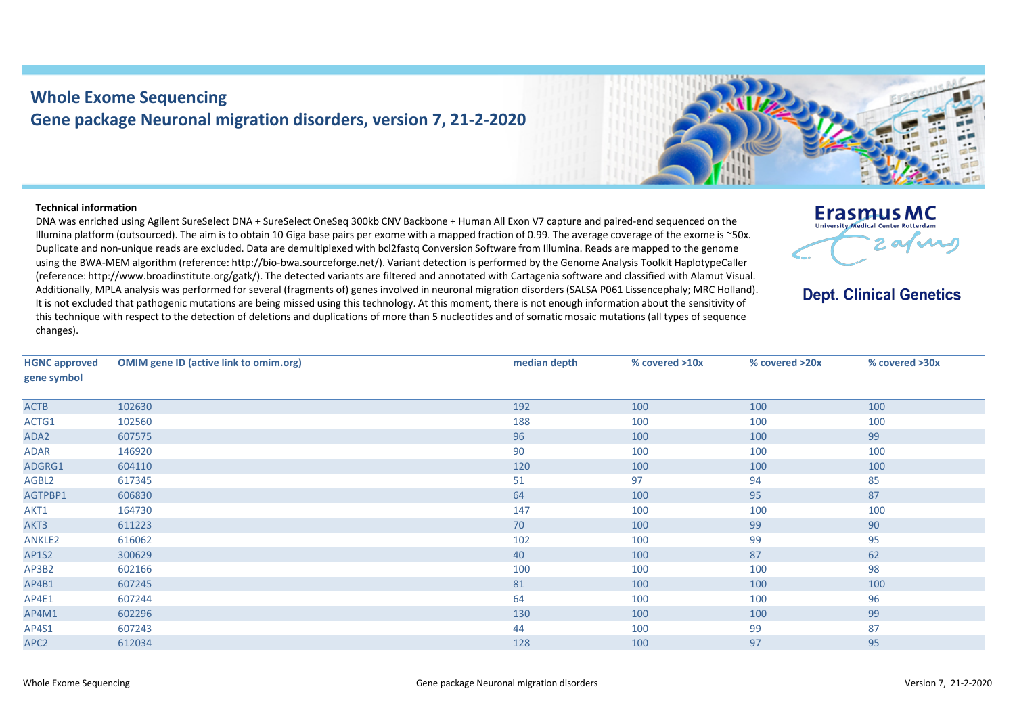## **Whole Exome Sequencing Gene package Neuronal migration disorders, version 7, 21-2-2020**



## **Technical information**

DNA was enriched using Agilent SureSelect DNA + SureSelect OneSeq 300kb CNV Backbone + Human All Exon V7 capture and paired-end sequenced on the Illumina platform (outsourced). The aim is to obtain 10 Giga base pairs per exome with a mapped fraction of 0.99. The average coverage of the exome is ~50x. Duplicate and non-unique reads are excluded. Data are demultiplexed with bcl2fastq Conversion Software from Illumina. Reads are mapped to the genome using the BWA-MEM algorithm (reference: http://bio-bwa.sourceforge.net/). Variant detection is performed by the Genome Analysis Toolkit HaplotypeCaller (reference: http://www.broadinstitute.org/gatk/). The detected variants are filtered and annotated with Cartagenia software and classified with Alamut Visual. Additionally, MPLA analysis was performed for several (fragments of) genes involved in neuronal migration disorders (SALSA P061 Lissencephaly; MRC Holland). It is not excluded that pathogenic mutations are being missed using this technology. At this moment, there is not enough information about the sensitivity of this technique with respect to the detection of deletions and duplications of more than 5 nucleotides and of somatic mosaic mutations (all types of sequence changes).



**Dept. Clinical Genetics** 

| <b>HGNC approved</b> | <b>OMIM gene ID (active link to omim.org)</b> | median depth | % covered >10x | % covered >20x | % covered >30x |
|----------------------|-----------------------------------------------|--------------|----------------|----------------|----------------|
| gene symbol          |                                               |              |                |                |                |
| <b>ACTB</b>          | 102630                                        | 192          | 100            | 100            | 100            |
| ACTG1                | 102560                                        | 188          | 100            | 100            | 100            |
| ADA2                 | 607575                                        | 96           | 100            | 100            | 99             |
| <b>ADAR</b>          | 146920                                        | 90           | 100            | 100            | 100            |
| ADGRG1               | 604110                                        | 120          | 100            | 100            | 100            |
| AGBL2                | 617345                                        | 51           | 97             | 94             | 85             |
| AGTPBP1              | 606830                                        | 64           | 100            | 95             | 87             |
| AKT1                 | 164730                                        | 147          | 100            | 100            | 100            |
| AKT3                 | 611223                                        | 70           | 100            | 99             | 90             |
| ANKLE2               | 616062                                        | 102          | 100            | 99             | 95             |
| AP1S2                | 300629                                        | 40           | 100            | 87             | 62             |
| AP3B2                | 602166                                        | 100          | 100            | 100            | 98             |
| AP4B1                | 607245                                        | 81           | 100            | 100            | 100            |
| AP4E1                | 607244                                        | 64           | 100            | 100            | 96             |
| AP4M1                | 602296                                        | 130          | 100            | 100            | 99             |
| AP4S1                | 607243                                        | 44           | 100            | 99             | 87             |
| APC <sub>2</sub>     | 612034                                        | 128          | 100            | 97             | 95             |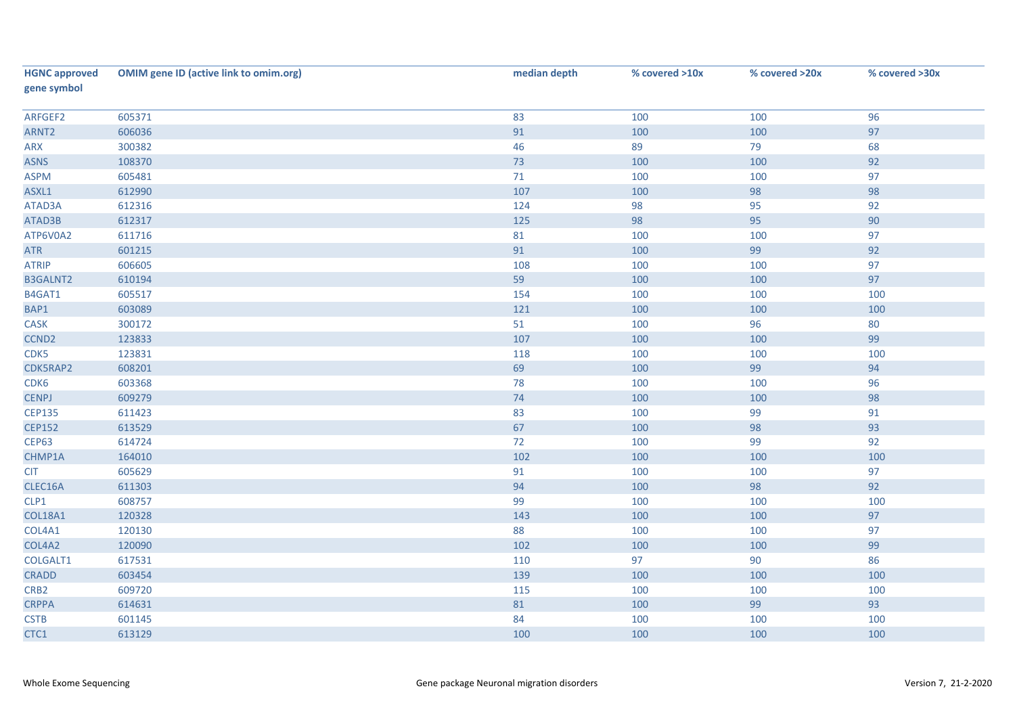| <b>HGNC approved</b><br>gene symbol | <b>OMIM gene ID (active link to omim.org)</b> | median depth | % covered >10x | % covered >20x | % covered >30x |
|-------------------------------------|-----------------------------------------------|--------------|----------------|----------------|----------------|
| ARFGEF2                             | 605371                                        | 83           | 100            | 100            | 96             |
| ARNT <sub>2</sub>                   | 606036                                        | 91           | 100            | 100            | 97             |
| ARX                                 | 300382                                        | 46           | 89             | 79             | 68             |
| <b>ASNS</b>                         | 108370                                        | 73           | 100            | 100            | 92             |
| <b>ASPM</b>                         | 605481                                        | $71\,$       | 100            | 100            | 97             |
| ASXL1                               | 612990                                        | 107          | 100            | 98             | 98             |
| ATAD3A                              | 612316                                        | 124          | 98             | 95             | 92             |
| ATAD3B                              | 612317                                        | 125          | 98             | 95             | $90\,$         |
| ATP6V0A2                            | 611716                                        | 81           | 100            | 100            | 97             |
| ATR                                 | 601215                                        | 91           | 100            | 99             | 92             |
| <b>ATRIP</b>                        | 606605                                        | 108          | 100            | 100            | 97             |
| <b>B3GALNT2</b>                     | 610194                                        | 59           | 100            | 100            | 97             |
| B4GAT1                              | 605517                                        | 154          | 100            | 100            | 100            |
| BAP1                                | 603089                                        | 121          | 100            | 100            | 100            |
| CASK                                | 300172                                        | 51           | 100            | 96             | 80             |
| CCND <sub>2</sub>                   | 123833                                        | 107          | 100            | 100            | 99             |
| CDK5                                | 123831                                        | 118          | 100            | 100            | 100            |
| CDK5RAP2                            | 608201                                        | 69           | 100            | 99             | 94             |
| CDK6                                | 603368                                        | 78           | 100            | 100            | 96             |
| <b>CENPJ</b>                        | 609279                                        | 74           | 100            | 100            | 98             |
| <b>CEP135</b>                       | 611423                                        | 83           | 100            | 99             | 91             |
| <b>CEP152</b>                       | 613529                                        | 67           | 100            | 98             | 93             |
| <b>CEP63</b>                        | 614724                                        | $72$         | 100            | 99             | 92             |
| CHMP1A                              | 164010                                        | 102          | 100            | 100            | 100            |
| <b>CIT</b>                          | 605629                                        | 91           | 100            | 100            | 97             |
| CLEC16A                             | 611303                                        | 94           | 100            | 98             | 92             |
| CLP1                                | 608757                                        | 99           | 100            | 100            | 100            |
| <b>COL18A1</b>                      | 120328                                        | 143          | 100            | 100            | 97             |
| COL4A1                              | 120130                                        | 88           | 100            | 100            | 97             |
| COL4A2                              | 120090                                        | 102          | 100            | 100            | 99             |
| COLGALT1                            | 617531                                        | 110          | 97             | 90             | 86             |
| <b>CRADD</b>                        | 603454                                        | 139          | 100            | 100            | 100            |
| CRB <sub>2</sub>                    | 609720                                        | 115          | 100            | 100            | 100            |
| <b>CRPPA</b>                        | 614631                                        | 81           | 100            | 99             | 93             |
| <b>CSTB</b>                         | 601145                                        | 84           | 100            | 100            | 100            |
| CTC1                                | 613129                                        | 100          | 100            | 100            | 100            |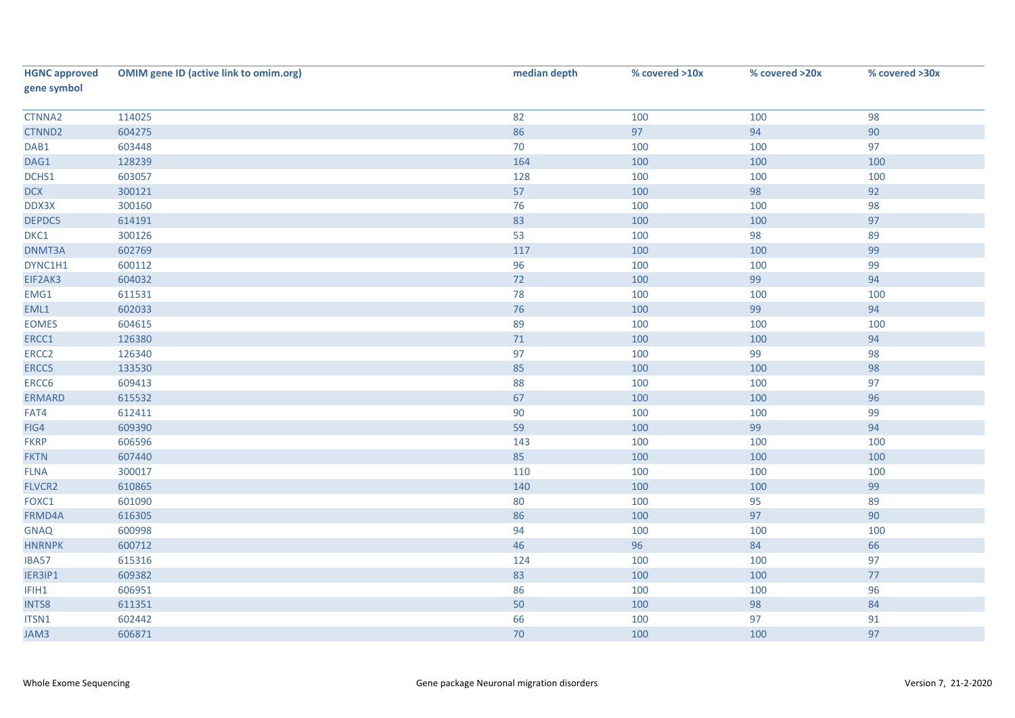| <b>HGNC approved</b><br>gene symbol | <b>OMIM gene ID (active link to omim.org)</b> | median depth | % covered >10x | % covered >20x | % covered >30x |
|-------------------------------------|-----------------------------------------------|--------------|----------------|----------------|----------------|
| CTNNA2                              | 114025                                        | 82           | 100            | 100            | 98             |
| CTNND2                              | 604275                                        | 86           | 97             | 94             | 90             |
| DAB1                                | 603448                                        | 70           | 100            | 100            | 97             |
| DAG1                                | 128239                                        | 164          | 100            | 100            | 100            |
| DCHS1                               | 603057                                        | 128          | 100            | 100            | 100            |
| <b>DCX</b>                          | 300121                                        | 57           | 100            | 98             | 92             |
| DDX3X                               | 300160                                        | 76           | 100            | 100            | 98             |
| DEPDC5                              | 614191                                        | 83           | 100            | 100            | 97             |
| DKC1                                | 300126                                        | 53           | 100            | 98             | 89             |
| DNMT3A                              | 602769                                        | 117          | 100            | 100            | 99             |
| DYNC1H1                             | 600112                                        | 96           | 100            | 100            | 99             |
| EIF2AK3                             | 604032                                        | 72           | 100            | 99             | 94             |
| EMG1                                | 611531                                        | 78           | 100            | 100            | 100            |
| EML1                                | 602033                                        | 76           | 100            | 99             | 94             |
| <b>EOMES</b>                        | 604615                                        | 89           | 100            | 100            | 100            |
| ERCC1                               | 126380                                        | 71           | 100            | 100            | 94             |
| ERCC <sub>2</sub>                   | 126340                                        | 97           | 100            | 99             | 98             |
| ERCC5                               | 133530                                        | 85           | 100            | 100            | 98             |
| ERCC6                               | 609413                                        | 88           | 100            | 100            | 97             |
| <b>ERMARD</b>                       | 615532                                        | 67           | 100            | 100            | 96             |
| FAT4                                | 612411                                        | 90           | 100            | 100            | 99             |
| FIG4                                | 609390                                        | 59           | 100            | 99             | 94             |
| <b>FKRP</b>                         | 606596                                        | 143          | 100            | 100            | 100            |
| <b>FKTN</b>                         | 607440                                        | 85           | 100            | 100            | 100            |
| <b>FLNA</b>                         | 300017                                        | 110          | 100            | 100            | 100            |
| FLVCR2                              | 610865                                        | 140          | 100            | 100            | 99             |
| FOXC1                               | 601090                                        | 80           | 100            | 95             | 89             |
| FRMD4A                              | 616305                                        | 86           | 100            | 97             | 90             |
| GNAQ                                | 600998                                        | 94           | 100            | 100            | 100            |
| <b>HNRNPK</b>                       | 600712                                        | 46           | 96             | 84             | 66             |
| IBA57                               | 615316                                        | 124          | 100            | 100            | 97             |
| IER3IP1                             | 609382                                        | 83           | 100            | 100            | 77             |
| IFIH1                               | 606951                                        | 86           | 100            | 100            | 96             |
| <b>INTS8</b>                        | 611351                                        | 50           | 100            | 98             | 84             |
| <b>ITSN1</b>                        | 602442                                        | 66           | 100            | 97             | 91             |
| JAM3                                | 606871                                        | 70           | 100            | 100            | 97             |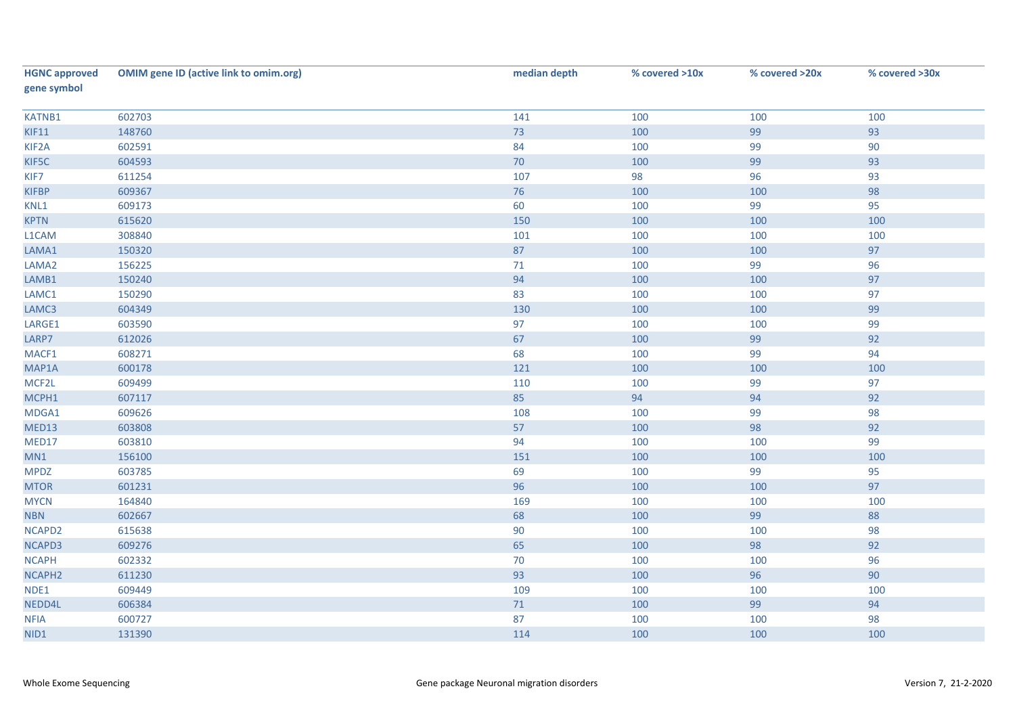| <b>HGNC</b> approved<br>gene symbol | <b>OMIM gene ID (active link to omim.org)</b> | median depth | % covered >10x | % covered >20x | % covered >30x |
|-------------------------------------|-----------------------------------------------|--------------|----------------|----------------|----------------|
| KATNB1                              | 602703                                        | 141          | 100            | 100            | 100            |
| KIF11                               | 148760                                        | $73$         | 100            | 99             | 93             |
| KIF2A                               | 602591                                        | 84           | 100            | 99             | 90             |
| KIF5C                               | 604593                                        | 70           | 100            | 99             | 93             |
| KIF7                                | 611254                                        | 107          | 98             | 96             | 93             |
| <b>KIFBP</b>                        | 609367                                        | 76           | 100            | 100            | 98             |
| KNL1                                | 609173                                        | 60           | 100            | 99             | 95             |
| <b>KPTN</b>                         | 615620                                        | 150          | 100            | 100            | 100            |
| L1CAM                               | 308840                                        | 101          | 100            | 100            | 100            |
| LAMA1                               | 150320                                        | 87           | 100            | 100            | 97             |
| LAMA2                               | 156225                                        | 71           | 100            | 99             | 96             |
| LAMB1                               | 150240                                        | 94           | 100            | 100            | 97             |
| LAMC1                               | 150290                                        | 83           | 100            | 100            | 97             |
| LAMC3                               | 604349                                        | 130          | 100            | 100            | 99             |
| LARGE1                              | 603590                                        | 97           | 100            | 100            | 99             |
| LARP7                               | 612026                                        | 67           | 100            | 99             | 92             |
| MACF1                               | 608271                                        | 68           | 100            | 99             | 94             |
| MAP1A                               | 600178                                        | 121          | 100            | 100            | 100            |
| MCF2L                               | 609499                                        | 110          | 100            | 99             | 97             |
| MCPH1                               | 607117                                        | 85           | 94             | 94             | 92             |
| MDGA1                               | 609626                                        | 108          | 100            | 99             | 98             |
| MED13                               | 603808                                        | 57           | 100            | 98             | 92             |
| MED17                               | 603810                                        | 94           | 100            | 100            | 99             |
| MN1                                 | 156100                                        | 151          | 100            | 100            | 100            |
| <b>MPDZ</b>                         | 603785                                        | 69           | 100            | 99             | 95             |
| <b>MTOR</b>                         | 601231                                        | 96           | 100            | 100            | 97             |
| <b>MYCN</b>                         | 164840                                        | 169          | 100            | 100            | 100            |
| <b>NBN</b>                          | 602667                                        | 68           | 100            | 99             | 88             |
| NCAPD2                              | 615638                                        | 90           | 100            | 100            | 98             |
| NCAPD3                              | 609276                                        | 65           | 100            | 98             | 92             |
| <b>NCAPH</b>                        | 602332                                        | 70           | 100            | 100            | 96             |
| NCAPH <sub>2</sub>                  | 611230                                        | 93           | 100            | 96             | 90             |
| NDE1                                | 609449                                        | 109          | 100            | 100            | 100            |
| NEDD4L                              | 606384                                        | $71\,$       | 100            | 99             | 94             |
| <b>NFIA</b>                         | 600727                                        | 87           | 100            | 100            | 98             |
| NID1                                | 131390                                        | 114          | 100            | 100            | 100            |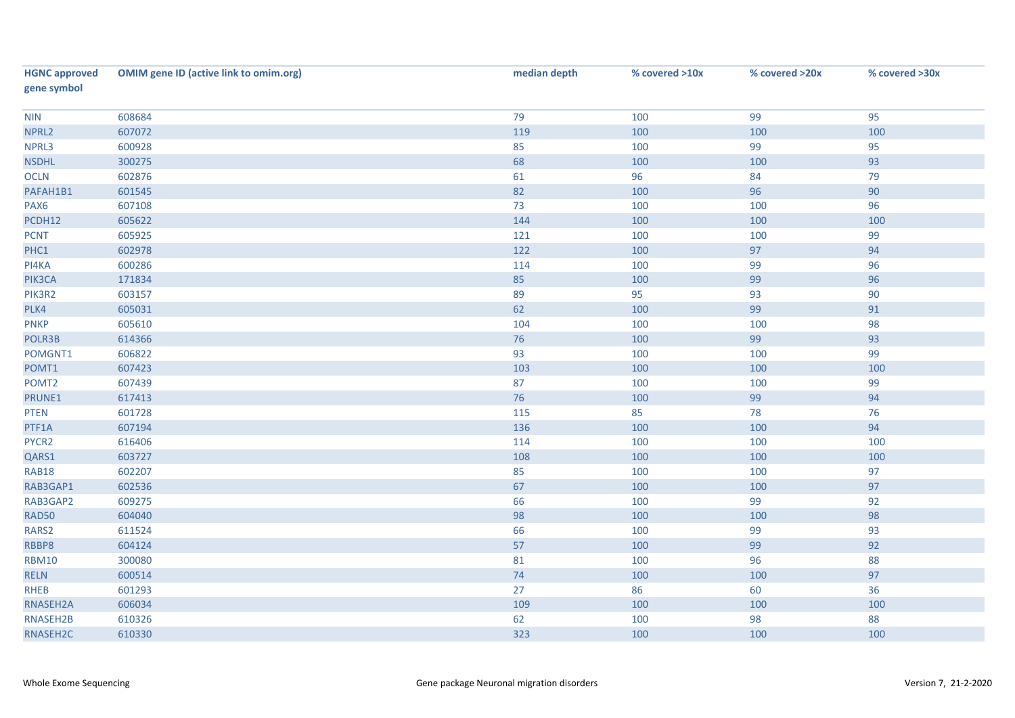| <b>HGNC</b> approved<br>gene symbol | <b>OMIM gene ID (active link to omim.org)</b> | median depth | % covered >10x | % covered >20x | % covered >30x |
|-------------------------------------|-----------------------------------------------|--------------|----------------|----------------|----------------|
| <b>NIN</b>                          | 608684                                        | 79           | 100            | 99             | 95             |
| NPRL2                               | 607072                                        | 119          | 100            | 100            | 100            |
| NPRL3                               | 600928                                        | 85           | 100            | 99             | 95             |
| <b>NSDHL</b>                        | 300275                                        | 68           | 100            | 100            | 93             |
| <b>OCLN</b>                         | 602876                                        | 61           | 96             | 84             | 79             |
| PAFAH1B1                            | 601545                                        | 82           | 100            | 96             | 90             |
| PAX6                                | 607108                                        | 73           | 100            | 100            | 96             |
| PCDH12                              | 605622                                        | 144          | 100            | 100            | 100            |
| <b>PCNT</b>                         | 605925                                        | 121          | 100            | 100            | 99             |
| PHC1                                | 602978                                        | 122          | 100            | 97             | 94             |
| PI4KA                               | 600286                                        | 114          | 100            | 99             | 96             |
| PIK3CA                              | 171834                                        | 85           | 100            | 99             | 96             |
| PIK3R2                              | 603157                                        | 89           | 95             | 93             | 90             |
| PLK4                                | 605031                                        | 62           | 100            | 99             | 91             |
| <b>PNKP</b>                         | 605610                                        | 104          | 100            | 100            | 98             |
| POLR3B                              | 614366                                        | 76           | 100            | 99             | 93             |
| POMGNT1                             | 606822                                        | 93           | 100            | 100            | 99             |
| POMT1                               | 607423                                        | 103          | 100            | 100            | 100            |
| POMT <sub>2</sub>                   | 607439                                        | 87           | 100            | 100            | 99             |
| PRUNE1                              | 617413                                        | 76           | 100            | 99             | 94             |
| <b>PTEN</b>                         | 601728                                        | 115          | 85             | 78             | 76             |
| PTF1A                               | 607194                                        | 136          | 100            | 100            | 94             |
| PYCR2                               | 616406                                        | 114          | 100            | 100            | 100            |
| QARS1                               | 603727                                        | 108          | 100            | 100            | 100            |
| <b>RAB18</b>                        | 602207                                        | 85           | 100            | 100            | 97             |
| RAB3GAP1                            | 602536                                        | 67           | 100            | 100            | 97             |
| RAB3GAP2                            | 609275                                        | 66           | 100            | 99             | 92             |
| <b>RAD50</b>                        | 604040                                        | 98           | 100            | 100            | 98             |
| RARS2                               | 611524                                        | 66           | 100            | 99             | 93             |
| RBBP8                               | 604124                                        | 57           | 100            | 99             | 92             |
| <b>RBM10</b>                        | 300080                                        | 81           | 100            | 96             | 88             |
| <b>RELN</b>                         | 600514                                        | 74           | 100            | 100            | 97             |
| <b>RHEB</b>                         | 601293                                        | 27           | 86             | 60             | 36             |
| RNASEH2A                            | 606034                                        | 109          | 100            | 100            | 100            |
| RNASEH2B                            | 610326                                        | 62           | 100            | 98             | 88             |
| RNASEH2C                            | 610330                                        | 323          | 100            | 100            | 100            |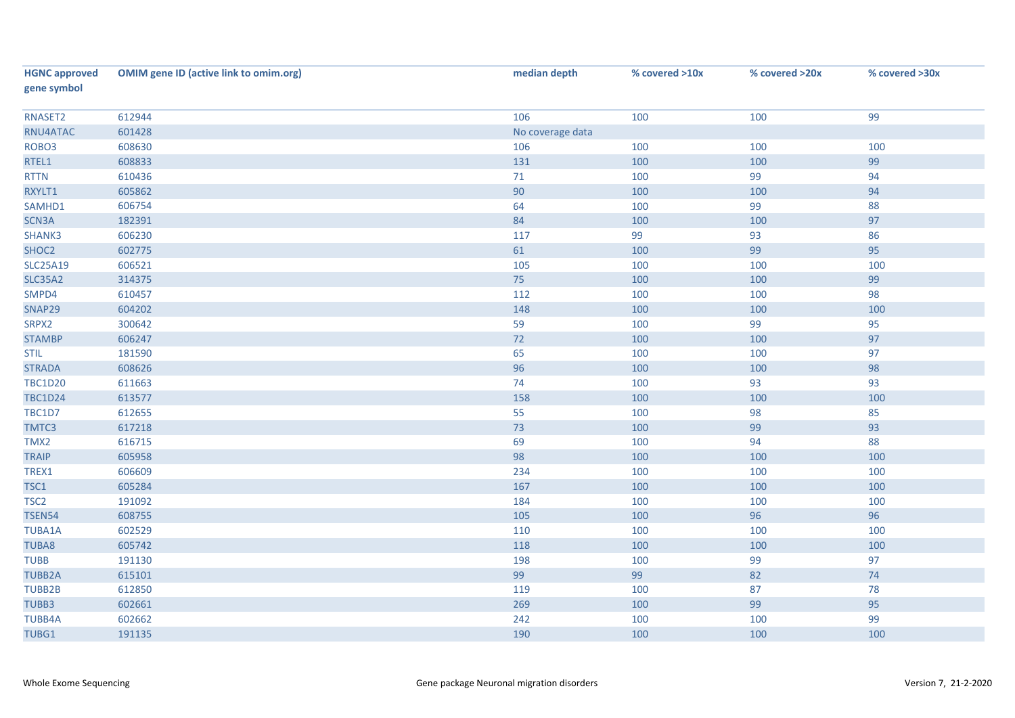| <b>HGNC approved</b><br>gene symbol | <b>OMIM gene ID (active link to omim.org)</b> | median depth     | % covered >10x | % covered >20x | % covered >30x |
|-------------------------------------|-----------------------------------------------|------------------|----------------|----------------|----------------|
| RNASET2                             | 612944                                        | 106              | 100            | 100            | 99             |
| RNU4ATAC                            | 601428                                        | No coverage data |                |                |                |
| ROBO3                               | 608630                                        | 106              | 100            | 100            | 100            |
| RTEL1                               | 608833                                        | 131              | 100            | 100            | 99             |
| <b>RTTN</b>                         | 610436                                        | $71\,$           | 100            | 99             | 94             |
| RXYLT1                              | 605862                                        | 90               | 100            | 100            | 94             |
| SAMHD1                              | 606754                                        | 64               | 100            | 99             | 88             |
| SCN3A                               | 182391                                        | 84               | 100            | 100            | 97             |
| SHANK3                              | 606230                                        | 117              | 99             | 93             | 86             |
| SHOC2                               | 602775                                        | 61               | 100            | 99             | 95             |
| <b>SLC25A19</b>                     | 606521                                        | 105              | 100            | 100            | 100            |
| <b>SLC35A2</b>                      | 314375                                        | 75               | 100            | 100            | 99             |
| SMPD4                               | 610457                                        | 112              | 100            | 100            | 98             |
| SNAP29                              | 604202                                        | 148              | 100            | 100            | 100            |
| SRPX2                               | 300642                                        | 59               | 100            | 99             | 95             |
| <b>STAMBP</b>                       | 606247                                        | 72               | 100            | 100            | 97             |
| <b>STIL</b>                         | 181590                                        | 65               | 100            | 100            | 97             |
| <b>STRADA</b>                       | 608626                                        | 96               | 100            | 100            | 98             |
| <b>TBC1D20</b>                      | 611663                                        | 74               | 100            | 93             | 93             |
| <b>TBC1D24</b>                      | 613577                                        | 158              | 100            | 100            | 100            |
| TBC1D7                              | 612655                                        | 55               | 100            | 98             | 85             |
| TMTC3                               | 617218                                        | 73               | 100            | 99             | 93             |
| TMX2                                | 616715                                        | 69               | 100            | 94             | 88             |
| <b>TRAIP</b>                        | 605958                                        | 98               | 100            | 100            | 100            |
| TREX1                               | 606609                                        | 234              | 100            | 100            | 100            |
| TSC1                                | 605284                                        | 167              | 100            | 100            | 100            |
| TSC <sub>2</sub>                    | 191092                                        | 184              | 100            | 100            | 100            |
| <b>TSEN54</b>                       | 608755                                        | 105              | 100            | 96             | 96             |
| <b>TUBA1A</b>                       | 602529                                        | 110              | 100            | 100            | 100            |
| <b>TUBA8</b>                        | 605742                                        | 118              | 100            | 100            | 100            |
| <b>TUBB</b>                         | 191130                                        | 198              | 100            | 99             | 97             |
| <b>TUBB2A</b>                       | 615101                                        | 99               | 99             | 82             | 74             |
| <b>TUBB2B</b>                       | 612850                                        | 119              | 100            | 87             | 78             |
| TUBB3                               | 602661                                        | 269              | 100            | 99             | 95             |
| <b>TUBB4A</b>                       | 602662                                        | 242              | 100            | 100            | 99             |
| TUBG1                               | 191135                                        | 190              | 100            | 100            | 100            |